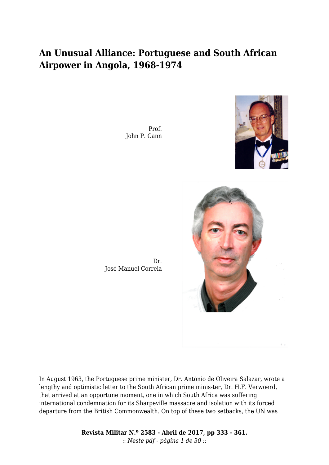# **An Unusual Alliance: Portuguese and South African Airpower in Angola, 1968-1974**

Prof. John P. Cann





Dr. José Manuel Correia

In August 1963, the Portuguese prime minister, Dr. António de Oliveira Salazar, wrote a lengthy and optimistic letter to the South African prime minis-ter, Dr. H.F. Verwoerd, that arrived at an opportune moment, one in which South Africa was suffering international condemnation for its Sharpeville massacre and isolation with its forced departure from the British Commonwealth. On top of these two setbacks, the UN was

> **Revista Militar N.º 2583 - Abril de 2017, pp 333 - 361.** :: *Neste pdf - página 1 de 30 ::*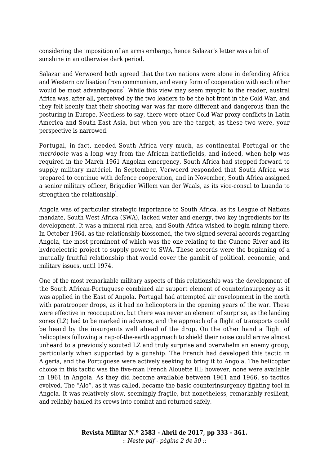considering the imposition of an arms embargo, hence Salazar's letter was a bit of sunshine in an otherwise dark period.

<span id="page-1-0"></span>Salazar and Verwoerd both agreed that the two nations were alone in defending Africa and Western civilisation from communism, and every form of cooperation with each other would be most advantageous<sup>!</sup>. While this view may seem myopic to the reader, austral Africa was, after all, perceived by the two leaders to be the hot front in the Cold War, and they felt keenly that their shooting war was far more different and dangerous than the posturing in Europe. Needless to say, there were other Cold War proxy conflicts in Latin America and South East Asia, but when you are the target, as these two were, your perspective is narrowed.

Portugal, in fact, needed South Africa very much, as continental Portugal or the *metrópole* was a long way from the African battlefields, and indeed, when help was required in the March 1961 Angolan emergency, South Africa had stepped forward to supply military matériel. In September, Verwoerd responded that South Africa was prepared to continue with defence cooperation, and in November, South Africa assigned a senior military officer, Brigadier Willem van der Waals, as its vice-consul to Luanda to strengthen the relationship<sup>[2](#page-23-1)</sup>.

<span id="page-1-1"></span>Angola was of particular strategic importance to South Africa, as its League of Nations mandate, South West Africa (SWA), lacked water and energy, two key ingredients for its development. It was a mineral-rich area, and South Africa wished to begin mining there. In October 1964, as the relationship blossomed, the two signed several accords regarding Angola, the most prominent of which was the one relating to the Cunene River and its hydroelectric project to supply power to SWA. These accords were the beginning of a mutually fruitful relationship that would cover the gambit of political, economic, and military issues, until 1974.

One of the most remarkable military aspects of this relationship was the development of the South African-Portuguese combined air support element of counterinsurgency as it was applied in the East of Angola. Portugal had attempted air envelopment in the north with paratrooper drops, as it had no helicopters in the opening years of the war. These were effective in reoccupation, but there was never an element of surprise, as the landing zones (LZ) had to be marked in advance, and the approach of a flight of transports could be heard by the insurgents well ahead of the drop. On the other hand a flight of helicopters following a nap-of-the-earth approach to shield their noise could arrive almost unheard to a previously scouted LZ and truly surprise and overwhelm an enemy group, particularly when supported by a gunship. The French had developed this tactic in Algeria, and the Portuguese were actively seeking to bring it to Angola. The helicopter choice in this tactic was the five-man French Alouette III; however, none were available in 1961 in Angola. As they did become available between 1961 and 1966, so tactics evolved. The "Alo", as it was called, became the basic counterinsurgency fighting tool in Angola. It was relatively slow, seemingly fragile, but nonetheless, remarkably resilient, and reliably hauled its crews into combat and returned safely.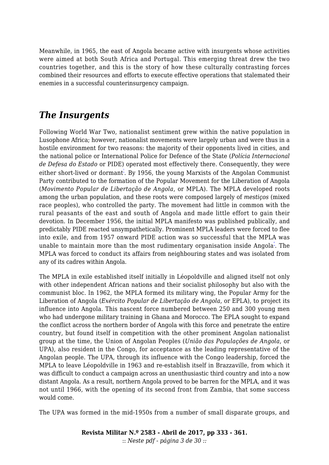Meanwhile, in 1965, the east of Angola became active with insurgents whose activities were aimed at both South Africa and Portugal. This emerging threat drew the two countries together, and this is the story of how these culturally contrasting forces combined their resources and efforts to execute effective operations that stalemated their enemies in a successful counterinsurgency campaign.

## *The Insurgents*

<span id="page-2-0"></span>Following World War Two, nationalist sentiment grew within the native population in Lusophone Africa; however, nationalist movements were largely urban and were thus in a hostile environment for two reasons: the majority of their opponents lived in cities, and the national police or International Police for Defence of the State (*Polícia Internacional de Defesa do Estado* or PIDE) operated most effectively there. Consequently, they were either short-lived or dormant<sup>2</sup>. By 1956, the young Marxists of the Angolan Communist Party contributed to the formation of the Popular Movement for the Liberation of Angola (*Movimento Popular de Libertação de Angola*, or MPLA). The MPLA developed roots among the urban population, and these roots were composed largely of *mestiços* (mixed race peoples), who controlled the party. The movement had little in common with the rural peasants of the east and south of Angola and made little effort to gain their devotion. In December 1956, the initial MPLA manifesto was published publically, and predictably PIDE reacted unsympathetically. Prominent MPLA leaders were forced to flee into exile, and from 1957 onward PIDE action was so successful that the MPLA was unable to maintain more than the most rudimentary organisation inside Angola<sup>2</sup>. The MPLA was forced to conduct its affairs from neighbouring states and was isolated from any of its cadres within Angola.

<span id="page-2-1"></span>The MPLA in exile established itself initially in Léopoldville and aligned itself not only with other independent African nations and their socialist philosophy but also with the communist bloc. In 1962, the MPLA formed its military wing, the Popular Army for the Liberation of Angola (*Exército Popular de Libertação de Angola*, or EPLA), to project its influence into Angola. This nascent force numbered between 250 and 300 young men who had undergone military training in Ghana and Morocco. The EPLA sought to expand the conflict across the northern border of Angola with this force and penetrate the entire country, but found itself in competition with the other prominent Angolan nationalist group at the time, the Union of Angolan Peoples (*União das Populações de Angola*, or UPA), also resident in the Congo, for acceptance as the leading representative of the Angolan people. The UPA, through its influence with the Congo leadership, forced the MPLA to leave Léopoldville in 1963 and re-establish itself in Brazzaville, from which it was difficult to conduct a campaign across an unenthusiastic third country and into a now distant Angola. As a result, northern Angola proved to be barren for the MPLA, and it was not until 1966, with the opening of its second front from Zambia, that some success would come.

The UPA was formed in the mid-1950s from a number of small disparate groups, and

**Revista Militar N.º 2583 - Abril de 2017, pp 333 - 361.** :: *Neste pdf - página 3 de 30 ::*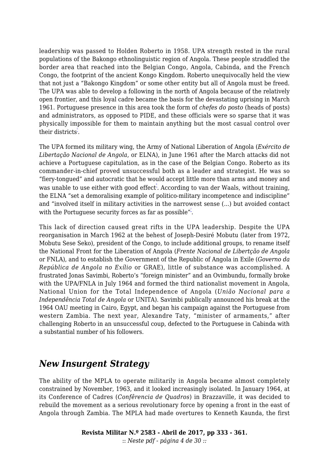leadership was passed to Holden Roberto in 1958. UPA strength rested in the rural populations of the Bakongo ethnolinguistic region of Angola. These people straddled the border area that reached into the Belgian Congo, Angola, Cabinda, and the French Congo, the footprint of the ancient Kongo Kingdom. Roberto unequivocally held the view that not just a "Bakongo Kingdom" or some other entity but all of Angola must be freed. The UPA was able to develop a following in the north of Angola because of the relatively open frontier, and this loyal cadre became the basis for the devastating uprising in March 1961. Portuguese presence in this area took the form of *chefes do posto* (heads of posts) and administrators, as opposed to PIDE, and these officials were so sparse that it was physically impossible for them to maintain anything but the most casual control over their districts<sup>[5](#page-23-4)</sup>.

<span id="page-3-1"></span><span id="page-3-0"></span>The UPA formed its military wing, the Army of National Liberation of Angola (*Exército de Libertação Nacional de Angola*, or ELNA), in June 1961 after the March attacks did not achieve a Portuguese capitulation, as in the case of the Belgian Congo. Roberto as its commander-in-chief proved unsuccessful both as a leader and strategist. He was so "fiery-tongued" and autocratic that he would accept little more than arms and money and was unable to use either with good effect<sup>5</sup>. According to van der Waals, without training, the ELNA "set a demoralising example of politico-military incompetence and indiscipline" and "involved itself in military activities in the narrowest sense (...) but avoided contact with the Portuguese security forces as far as possible".

<span id="page-3-2"></span>This lack of direction caused great rifts in the UPA leadership. Despite the UPA reorganisation in March 1962 at the behest of Joseph-Desiré Mobutu (later from 1972, Mobutu Sese Seko), president of the Congo, to include additional groups, to rename itself the National Front for the Liberation of Angola (*Frente Nacional de Libertção de Angola* or FNLA), and to establish the Government of the Republic of Angola in Exile (*Governo da República de Angola no Exílio* or GRAE), little of substance was accomplished. A frustrated Jonas Savimbi, Roberto's "foreign minister" and an Ovimbundu, formally broke with the UPA/FNLA in July 1964 and formed the third nationalist movement in Angola, National Union for the Total Independence of Angola (*União Nacional para a Independência Total de Angola* or UNITA). Savimbi publically announced his break at the 1964 OAU meeting in Cairo, Egypt, and began his campaign against the Portuguese from western Zambia. The next year, Alexandre Taty, "minister of armaments," after challenging Roberto in an unsuccessful coup, defected to the Portuguese in Cabinda with a substantial number of his followers.

### *New Insurgent Strategy*

The ability of the MPLA to operate militarily in Angola became almost completely constrained by November, 1963, and it looked increasingly isolated. In January 1964, at its Conference of Cadres (*Confêrencia de Quadros*) in Brazzaville, it was decided to rebuild the movement as a serious revolutionary force by opening a front in the east of Angola through Zambia. The MPLA had made overtures to Kenneth Kaunda, the first

```
Revista Militar N.º 2583 - Abril de 2017, pp 333 - 361.
  :: Neste pdf - página 4 de 30 ::
```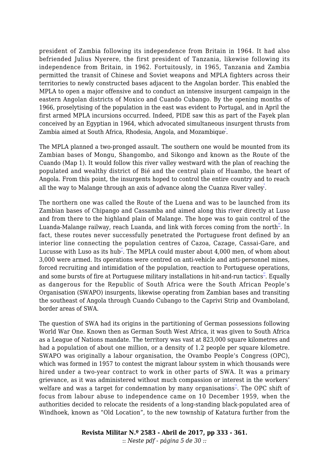president of Zambia following its independence from Britain in 1964. It had also befriended Julius Nyerere, the first president of Tanzania, likewise following its independence from Britain, in 1962. Fortuitously, in 1965, Tanzania and Zambia permitted the transit of Chinese and Soviet weapons and MPLA fighters across their territories to newly constructed bases adjacent to the Angolan border. This enabled the MPLA to open a major offensive and to conduct an intensive insurgent campaign in the eastern Angolan districts of Moxico and Cuando Cubango. By the opening months of 1966, proselytising of the population in the east was evident to Portugal, and in April the first armed MPLA incursions occurred. Indeed, PIDE saw this as part of the Fayek plan conceived by an Egyptian in 1964, which advocated simultaneous insurgent thrusts from Zambia aimed at South Africa, Rhodesia, Angola, and Mozambique<sup>\*</sup>.

<span id="page-4-0"></span>The MPLA planned a two-pronged assault. The southern one would be mounted from its Zambian bases of Mongu, Shangombo, and Sikongo and known as the Route of the Cuando (Map 1). It would follow this river valley westward with the plan of reaching the populated and wealthy district of Bié and the central plain of Huambo, the heart of Angola. From this point, the insurgents hoped to control the entire country and to reach all the way to Malange through an axis of advance along the Cuanza River valley.

<span id="page-4-3"></span><span id="page-4-2"></span><span id="page-4-1"></span>The northern one was called the Route of the Luena and was to be launched from its Zambian bases of Chipango and Cassamba and aimed along this river directly at Luso and from there to the highland plain of Malange. The hope was to gain control of the Luanda-Malange railway, reach Luanda, and link with forces coming from the north<sup>"</sup>. In fact, these routes never successfully penetrated the Portuguese front defined by an interior line connecting the population centres of Cazoa, Cazage, Cassai-Gare, and Lucusse with Luso as its hub". The MPLA could muster about 4,000 men, of whom about 3,000 were armed. Its operations were centred on anti-vehicle and anti-personnel mines, forced recruiting and intimidation of the population, reaction to Portuguese operations, and some bursts of fire at Portuguese military installations in hit-and-run tactics<sup>2</sup>. Equally as dangerous for the Republic of South Africa were the South African People's Organisation (SWAPO) insurgents, likewise operating from Zambian bases and transiting the southeast of Angola through Cuando Cubango to the Caprivi Strip and Ovamboland, border areas of SWA.

<span id="page-4-5"></span><span id="page-4-4"></span>The question of SWA had its origins in the partitioning of German possessions following World War One. Known then as German South West Africa, it was given to South Africa as a League of Nations mandate. The territory was vast at 823,000 square kilometres and had a population of about one million, or a density of 1.2 people per square kilometre. SWAPO was originally a labour organisation, the Ovambo People's Congress (OPC), which was formed in 1957 to contest the migrant labour system in which thousands were hired under a two-year contract to work in other parts of SWA. It was a primary grievance, as it was administered without much compassion or interest in the workers' welfare and was a target for condemnation by many organisations<sup>3</sup>. The OPC shift of focus from labour abuse to independence came on 10 December 1959, when the authorities decided to relocate the residents of a long-standing black-populated area of Windhoek, known as "Old Location", to the new township of Katatura further from the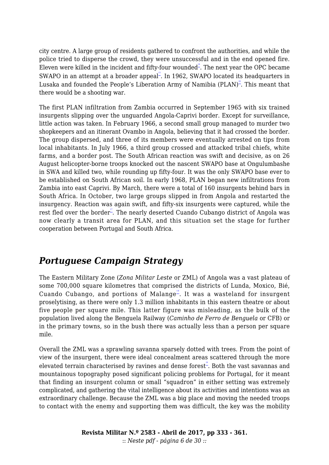<span id="page-5-1"></span><span id="page-5-0"></span>city centre. A large group of residents gathered to confront the authorities, and while the police tried to disperse the crowd, they were unsuccessful and in the end opened fire. Eleven were killed in the incident and fifty-four wounded<sup>"</sup>. The next year the OPC became SWAPO in an attempt at a broader appeal<sup>"</sup>. In 1962, SWAPO located its headquarters in Lusaka and founded the People's Liberation Army of Namibia (PLAN)<sup>\*</sup>. This meant that there would be a shooting war.

<span id="page-5-2"></span>The first PLAN infiltration from Zambia occurred in September 1965 with six trained insurgents slipping over the unguarded Angola-Caprivi border. Except for surveillance, little action was taken. In February 1966, a second small group managed to murder two shopkeepers and an itinerant Ovambo in Angola, believing that it had crossed the border. The group dispersed, and three of its members were eventually arrested on tips from local inhabitants. In July 1966, a third group crossed and attacked tribal chiefs, white farms, and a border post. The South African reaction was swift and decisive, as on 26 August helicopter-borne troops knocked out the nascent SWAPO base at Ongulumbashe in SWA and killed two, while rounding up fifty-four. It was the only SWAPO base ever to be established on South African soil. In early 1968, PLAN began new infiltrations from Zambia into east Caprivi. By March, there were a total of 160 insurgents behind bars in South Africa. In October, two large groups slipped in from Angola and restarted the insurgency. Reaction was again swift, and fifty-six insurgents were captured, while the rest fled over the border". The nearly deserted Cuando Cubango district of Angola was now clearly a transit area for PLAN, and this situation set the stage for further cooperation between Portugal and South Africa.

### <span id="page-5-3"></span>*Portuguese Campaign Strategy*

<span id="page-5-4"></span>The Eastern Military Zone (*Zona Militar Leste* or ZML) of Angola was a vast plateau of some 700,000 square kilometres that comprised the districts of Lunda, Moxico, Bié, Cuando Cubango, and portions of Malange<sup>1</sup>. It was a wasteland for insurgent proselytising, as there were only 1.3 million inhabitants in this eastern theatre or about five people per square mile. This latter figure was misleading, as the bulk of the population lived along the Benguela Railway (*Caminho de Ferro de Benguela* or CFB) or in the primary towns, so in the bush there was actually less than a person per square mile.

<span id="page-5-5"></span>Overall the ZML was a sprawling savanna sparsely dotted with trees. From the point of view of the insurgent, there were ideal concealment areas scattered through the more elevated terrain characterised by ravines and dense forest<sup>9</sup>. Both the vast savannas and mountainous topography posed significant policing problems for Portugal, for it meant that finding an insurgent column or small "squadron" in either setting was extremely complicated, and gathering the vital intelligence about its activities and intentions was an extraordinary challenge. Because the ZML was a big place and moving the needed troops to contact with the enemy and supporting them was difficult, the key was the mobility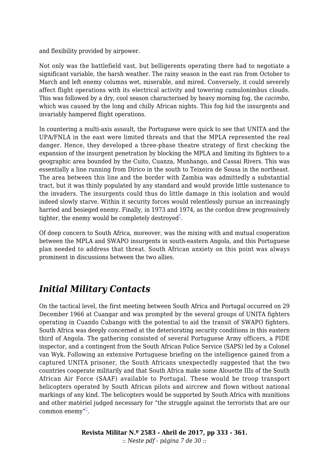and flexibility provided by airpower.

Not only was the battlefield vast, but belligerents operating there had to negotiate a significant variable, the harsh weather. The rainy season in the east ran from October to March and left enemy columns wet, miserable, and mired. Conversely, it could severely affect flight operations with its electrical activity and towering cumulonimbus clouds. This was followed by a dry, cool season characterised by heavy morning fog, the *cacimbo*, which was caused by the long and chilly African nights. This fog hid the insurgents and invariably hampered flight operations.

In countering a multi-axis assault, the Portuguese were quick to see that UNITA and the UPA/FNLA in the east were limited threats and that the MPLA represented the real danger. Hence, they developed a three-phase theatre strategy of first checking the expansion of the insurgent penetration by blocking the MPLA and limiting its fighters to a geographic area bounded by the Cuito, Cuanza, Munhango, and Cassai Rivers. This was essentially a line running from Dirico in the south to Teixeira de Sousa in the northeast. The area between this line and the border with Zambia was admittedly a substantial tract, but it was thinly populated by any standard and would provide little sustenance to the invaders. The insurgents could thus do little damage in this isolation and would indeed slowly starve. Within it security forces would relentlessly pursue an increasingly harried and besieged enemy. Finally, in 1973 and 1974, as the cordon drew progressively tighter, the enemy would be completely destroyed<sup>2</sup>.

<span id="page-6-0"></span>Of deep concern to South Africa, moreover, was the mixing with and mutual cooperation between the MPLA and SWAPO insurgents in south-eastern Angola, and this Portuguese plan needed to address that threat. South African anxiety on this point was always prominent in discussions between the two allies.

# *Initial Military Contacts*

On the tactical level, the first meeting between South Africa and Portugal occurred on 29 December 1966 at Cuangar and was prompted by the several groups of UNITA fighters operating in Cuando Cubango with the potential to aid the transit of SWAPO fighters. South Africa was deeply concerned at the deteriorating security conditions in this eastern third of Angola. The gathering consisted of several Portuguese Army officers, a PIDE inspector, and a contingent from the South African Police Service (SAPS) led by a Colonel van Wyk. Following an extensive Portuguese briefing on the intelligence gained from a captured UNITA prisoner, the South Africans unexpectedly suggested that the two countries cooperate militarily and that South Africa make some Alouette IIIs of the South African Air Force (SAAF) available to Portugal. These would be troop transport helicopters operated by South African pilots and aircrew and flown without national markings of any kind. The helicopters would be supported by South Africa with munitions and other matériel judged necessary for "the struggle against the terrorists that are our common enemy" $\overline{\phantom{a}}$ .

> <span id="page-6-1"></span>**Revista Militar N.º 2583 - Abril de 2017, pp 333 - 361.** :: *Neste pdf - página 7 de 30 ::*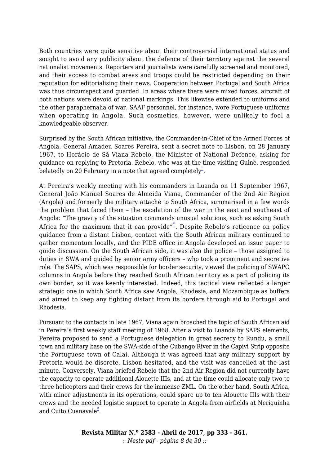Both countries were quite sensitive about their controversial international status and sought to avoid any publicity about the defence of their territory against the several nationalist movements. Reporters and journalists were carefully screened and monitored, and their access to combat areas and troops could be restricted depending on their reputation for editorialising their news. Cooperation between Portugal and South Africa was thus circumspect and guarded. In areas where there were mixed forces, aircraft of both nations were devoid of national markings. This likewise extended to uniforms and the other paraphernalia of war. SAAF personnel, for instance, wore Portuguese uniforms when operating in Angola. Such cosmetics, however, were unlikely to fool a knowledgeable observer.

Surprised by the South African initiative, the Commander-in-Chief of the Armed Forces of Angola, General Amadeu Soares Pereira, sent a secret note to Lisbon, on 28 January 1967, to Horácio de Sá Viana Rebelo, the Minister of National Defence, asking for guidance on replying to Pretoria. Rebelo, who was at the time visiting Guiné, responded belatedly on 20 February in a note that agreed completely".

<span id="page-7-1"></span><span id="page-7-0"></span>At Pereira's weekly meeting with his commanders in Luanda on 11 September 1967, General João Manuel Soares de Almeida Viana, Commander of the 2nd Air Region (Angola) and formerly the military attaché to South Africa, summarised in a few words the problem that faced them – the escalation of the war in the east and southeast of Angola: "The gravity of the situation commands unusual solutions, such as asking South Africa for the maximum that it can provide"<sup>2</sup>. Despite Rebelo's reticence on policy guidance from a distant Lisbon, contact with the South African military continued to gather momentum locally, and the PIDE office in Angola developed an issue paper to guide discussion. On the South African side, it was also the police – those assigned to duties in SWA and guided by senior army officers – who took a prominent and secretive role. The SAPS, which was responsible for border security, viewed the policing of SWAPO columns in Angola before they reached South African territory as a part of policing its own border, so it was keenly interested. Indeed, this tactical view reflected a larger strategic one in which South Africa saw Angola, Rhodesia, and Mozambique as buffers and aimed to keep any fighting distant from its borders through aid to Portugal and Rhodesia.

Pursuant to the contacts in late 1967, Viana again broached the topic of South African aid in Pereira's first weekly staff meeting of 1968. After a visit to Luanda by SAPS elements, Pereira proposed to send a Portuguese delegation in great secrecy to Rundu, a small town and military base on the SWA-side of the Cubango River in the Capivi Strip opposite the Portuguese town of Calai. Although it was agreed that any military support by Pretoria would be discrete, Lisbon hesitated, and the visit was cancelled at the last minute. Conversely, Viana briefed Rebelo that the 2nd Air Region did not currently have the capacity to operate additional Alouette IIIs, and at the time could allocate only two to three helicopters and their crews for the immense ZML. On the other hand, South Africa, with minor adjustments in its operations, could spare up to ten Alouette IIIs with their crews and the needed logistic support to operate in Angola from airfields at Neriquinha and Cuito Cuanavale<sup>2</sup>.

> <span id="page-7-2"></span>**Revista Militar N.º 2583 - Abril de 2017, pp 333 - 361.** :: *Neste pdf - página 8 de 30 ::*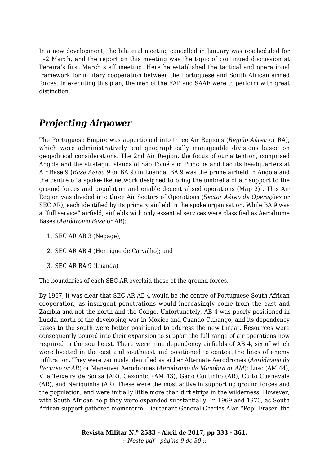In a new development, the bilateral meeting cancelled in January was rescheduled for 1–2 March, and the report on this meeting was the topic of continued discussion at Pereira's first March staff meeting. Here he established the tactical and operational framework for military cooperation between the Portuguese and South African armed forces. In executing this plan, the men of the FAP and SAAF were to perform with great distinction.

### *Projecting Airpower*

<span id="page-8-0"></span>The Portuguese Empire was apportioned into three Air Regions (*Região Aérea* or RA), which were administratively and geographically manageable divisions based on geopolitical considerations. The 2nd Air Region, the focus of our attention, comprised Angola and the strategic islands of São Tomé and Príncipe and had its headquarters at Air Base 9 (*Base Aérea 9* or BA 9) in Luanda. BA 9 was the prime airfield in Angola and the centre of a spoke-like network designed to bring the umbrella of air support to the ground forces and population and enable decentralised operations (Map 2) $\overline{P}$ . This Air Region was divided into three Air Sectors of Operations (*Sector Aéreo de Operações* or SEC AR), each identified by its primary airfield in the spoke organisation. While BA 9 was a "full service" airfield, airfields with only essential services were classified as Aerodrome Bases (*Aeródromo Base* or AB):

- 1. SEC AR AB 3 (Negage);
- 2. SEC AR AB 4 (Henrique de Carvalho); and
- 3. SEC AR BA 9 (Luanda).

The boundaries of each SEC AR overlaid those of the ground forces.

By 1967, it was clear that SEC AR AB 4 would be the centre of Portuguese-South African cooperation, as insurgent penetrations would increasingly come from the east and Zambia and not the north and the Congo. Unfortunately, AB 4 was poorly positioned in Lunda, north of the developing war in Moxico and Cuando Cubango, and its dependency bases to the south were better positioned to address the new threat. Resources were consequently poured into their expansion to support the full range of air operations now required in the southeast. There were nine dependency airfields of AB 4, six of which were located in the east and southeast and positioned to contest the lines of enemy infiltration. They were variously identified as either Alternate Aerodromes (*Aeródromo de Recurso or AR*) or Maneuver Aerodromes (*Aeródromo de Manobra or AM*): Luso (AM 44), Vila Teixeira de Sousa (AR), Cazombo (AM 43), Gago Coutinho (AR), Cuito Cuanavale (AR), and Neriquinha (AR). These were the most active in supporting ground forces and the population, and were initially little more than dirt strips in the wilderness. However, with South African help they were expanded substantially. In 1969 and 1970, as South African support gathered momentum, Lieutenant General Charles Alan "Pop" Fraser, the

> **Revista Militar N.º 2583 - Abril de 2017, pp 333 - 361.** :: *Neste pdf - página 9 de 30 ::*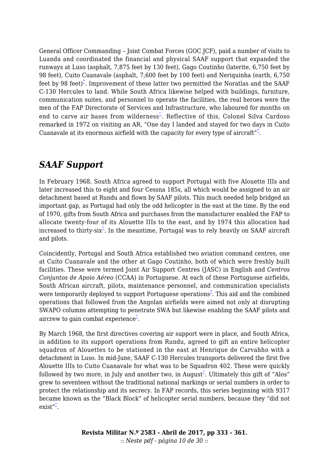<span id="page-9-0"></span>General Officer Commanding – Joint Combat Forces (GOC JCF), paid a number of visits to Luanda and coordinated the financial and physical SAAF support that expanded the runways at Luso (asphalt, 7,875 feet by 130 feet), Gago Coutinho (laterite, 6,750 feet by 98 feet), Cuito Cuanavale (asphalt, 7,600 feet by 100 feet) and Neriquinha (earth, 6,750 feet by 98 feet)<sup>2</sup>. Improvement of these latter two permitted the Noratlas and the SAAF C-130 Hercules to land. While South Africa likewise helped with buildings, furniture, communication suites, and personnel to operate the facilities, the real heroes were the men of the FAP Directorate of Services and Infrastructure, who laboured for months on end to carve air bases from wilderness<sup>2</sup>. Reflective of this, Colonel Silva Cardoso remarked in 1972 on visiting an AR, "One day I landed and stayed for two days in Cuito Cuanavale at its enormous airfield with the capacity for every type of aircraft".

### <span id="page-9-2"></span><span id="page-9-1"></span>*SAAF Support*

In February 1968, South Africa agreed to support Portugal with five Alouette IIIs and later increased this to eight and four Cessna 185s, all which would be assigned to an air detachment based at Rundu and flown by SAAF pilots. This much needed help bridged an important gap, as Portugal had only the odd helicopter in the east at the time. By the end of 1970, gifts from South Africa and purchases from the manufacturer enabled the FAP to allocate twenty-four of its Alouette IIIs to the east, and by 1974 this allocation had increased to thirty-six<sup>2</sup>. In the meantime, Portugal was to rely heavily on SAAF aircraft and pilots.

<span id="page-9-4"></span><span id="page-9-3"></span>Coincidently, Portugal and South Africa established two aviation command centres, one at Cuíto Cuanavale and the other at Gago Coutinho, both of which were freshly built facilities. These were termed Joint Air Support Centres (JASC) in English and *Centros Conjuntos de Apoio Aéreo* (CCAA) in Portuguese. At each of these Portuguese airfields, South African aircraft, pilots, maintenance personnel, and communication specialists were temporarily deployed to support Portuguese operations<sup>2</sup>. This aid and the combined operations that followed from the Angolan airfields were aimed not only at disrupting SWAPO columns attempting to penetrate SWA but likewise enabling the SAAF pilots and aircrew to gain combat experience<sup>"</sup>.

<span id="page-9-7"></span><span id="page-9-6"></span><span id="page-9-5"></span>By March 1968, the first directives covering air support were in place, and South Africa, in addition to its support operations from Rundu, agreed to gift an entire helicopter squadron of Alouettes to be stationed in the east at Henrique de Carvahho with a detachment in Luso. In mid-June, SAAF C-130 Hercules transports delivered the first five Alouette IIIs to Cuito Cuanavale for what was to be Squadron 402. These were quickly followed by two more, in July and another two, in August $\stackrel{\text{\rm \tiny ab}}{ }$ . Ultimately this gift of "Alos" grew to seventeen without the traditional national markings or serial numbers in order to protect the relationship and its secrecy. In FAP records, this series beginning with 9317 became known as the "Black Block" of helicopter serial numbers, because they "did not  $exist''^2$ .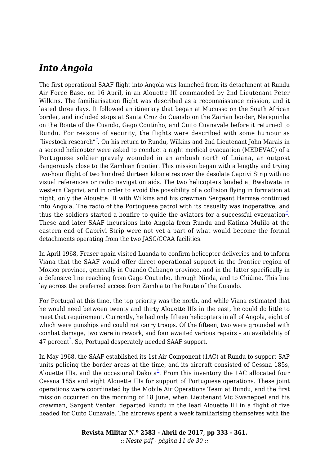### *Into Angola*

<span id="page-10-0"></span>The first operational SAAF flight into Angola was launched from its detachment at Rundu Air Force Base, on 16 April, in an Alouette III commanded by 2nd Lieutenant Peter Wilkins. The familiarisation flight was described as a reconnaissance mission, and it lasted three days. It followed an itinerary that began at Mucusso on the South African border, and included stops at Santa Cruz do Cuando on the Zairian border, Neriquinha on the Route of the Cuando, Gago Coutinho, and Cuito Cuanavale before it returned to Rundu. For reasons of security, the flights were described with some humour as "livestock research"<sup>"</sup>. On his return to Rundu, Wilkins and 2nd Lieutenant John Marais in a second helicopter were asked to conduct a night medical evacuation (MEDEVAC) of a Portuguese soldier gravely wounded in an ambush north of Luiana, an outpost dangerously close to the Zambian frontier. This mission began with a lengthy and trying two-hour flight of two hundred thirteen kilometres over the desolate Caprivi Strip with no visual references or radio navigation aids. The two helicopters landed at Bwabwata in western Caprivi, and in order to avoid the possibility of a collision flying in formation at night, only the Alouette III with Wilkins and his crewman Sergeant Harmse continued into Angola. The radio of the Portuguese patrol with its casualty was inoperative, and thus the soldiers started a bonfire to guide the aviators for a successful evacuation<sup>3</sup>. These and later SAAF incursions into Angola from Rundu and Katima Mulilo at the eastern end of Caprivi Strip were not yet a part of what would become the formal detachments operating from the two JASC/CCAA facilities.

<span id="page-10-1"></span>In April 1968, Fraser again visited Luanda to confirm helicopter deliveries and to inform Viana that the SAAF would offer direct operational support in the frontier region of Moxico province, generally in Cuando Cubango province, and in the latter specifically in a defensive line reaching from Gago Coutinho, through Ninda, and to Chiúme. This line lay across the preferred access from Zambia to the Route of the Cuando.

For Portugal at this time, the top priority was the north, and while Viana estimated that he would need between twenty and thirty Alouette IIIs in the east, he could do little to meet that requirement. Currently, he had only fifteen helicopters in all of Angola, eight of which were gunships and could not carry troops. Of the fifteen, two were grounded with combat damage, two were in rework, and four awaited various repairs – an availability of 47 percent [36](#page-25-13) . So, Portugal desperately needed SAAF support.

<span id="page-10-3"></span><span id="page-10-2"></span>In May 1968, the SAAF established its 1st Air Component (1AC) at Rundu to support SAP units policing the border areas at the time, and its aircraft consisted of Cessna 185s, Alouette IIIs, and the occasional Dakota<sup>2</sup>. From this inventory the 1AC allocated four Cessna 185s and eight Alouette IIIs for support of Portuguese operations. These joint operations were coordinated by the Mobile Air Operations Team at Rundu, and the first mission occurred on the morning of 18 June, when Lieutenant Vic Swanepoel and his crewman, Sargent Venter, departed Rundu in the lead Alouette III in a flight of five headed for Cuito Cunavale. The aircrews spent a week familiarising themselves with the

**Revista Militar N.º 2583 - Abril de 2017, pp 333 - 361.** :: *Neste pdf - página 11 de 30 ::*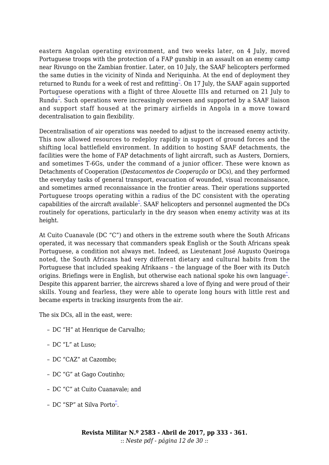<span id="page-11-0"></span>eastern Angolan operating environment, and two weeks later, on 4 July, moved Portuguese troops with the protection of a FAP gunship in an assault on an enemy camp near Rivungo on the Zambian frontier. Later, on 10 July, the SAAF helicopters performed the same duties in the vicinity of Ninda and Neriquinha. At the end of deployment they returned to Rundu for a week of rest and refitting<sup>\*</sup>. On 17 July, the SAAF again supported Portuguese operations with a flight of three Alouette IIIs and returned on 21 July to Rundu<sup>3</sup>. Such operations were increasingly overseen and supported by a SAAF liaison and support staff housed at the primary airfields in Angola in a move toward decentralisation to gain flexibility.

<span id="page-11-1"></span>Decentralisation of air operations was needed to adjust to the increased enemy activity. This now allowed resources to redeploy rapidly in support of ground forces and the shifting local battlefield environment. In addition to hosting SAAF detachments, the facilities were the home of FAP detachments of light aircraft, such as Austers, Dorniers, and sometimes T-6Gs, under the command of a junior officer. These were known as Detachments of Cooperation (*Destacamentos de Cooperação* or DCs), and they performed the everyday tasks of general transport, evacuation of wounded, visual reconnaissance, and sometimes armed reconnaissance in the frontier areas. Their operations supported Portuguese troops operating within a radius of the DC consistent with the operating capabilities of the aircraft available<sup>®</sup>. SAAF helicopters and personnel augmented the DCs routinely for operations, particularly in the dry season when enemy activity was at its height.

<span id="page-11-2"></span>At Cuito Cuanavale (DC "C") and others in the extreme south where the South Africans operated, it was necessary that commanders speak English or the South Africans speak Portuguese, a condition not always met. Indeed, as Lieutenant José Augusto Queiroga noted, the South Africans had very different dietary and cultural habits from the Portuguese that included speaking Afrikaans – the language of the Boer with its Dutch origins. Briefings were in English, but otherwise each national spoke his own language<sup>"</sup>. Despite this apparent barrier, the aircrews shared a love of flying and were proud of their skills. Young and fearless, they were able to operate long hours with little rest and became experts in tracking insurgents from the air.

<span id="page-11-3"></span>The six DCs, all in the east, were:

- DC "H" at Henrique de Carvalho;
- DC "L" at Luso;
- DC "CAZ" at Cazombo;
- DC "G" at Gago Coutinho;
- DC "C" at Cuito Cuanavale; and
- <span id="page-11-4"></span>- DC "SP" at Silva Porto<sup>"</sup>.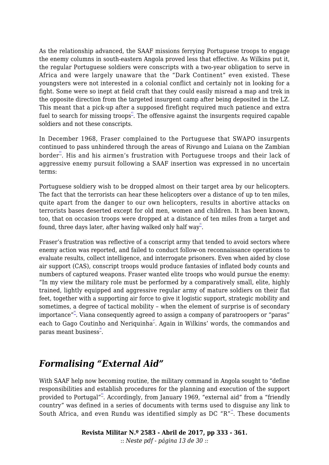As the relationship advanced, the SAAF missions ferrying Portuguese troops to engage the enemy columns in south-eastern Angola proved less that effective. As Wilkins put it, the regular Portuguese soldiers were conscripts with a two-year obligation to serve in Africa and were largely unaware that the "Dark Continent" even existed. These youngsters were not interested in a colonial conflict and certainly not in looking for a fight. Some were so inept at field craft that they could easily misread a map and trek in the opposite direction from the targeted insurgent camp after being deposited in the LZ. This meant that a pick-up after a supposed firefight required much patience and extra fuel to search for missing troops<sup>2</sup>. The offensive against the insurgents required capable soldiers and not these conscripts.

<span id="page-12-1"></span><span id="page-12-0"></span>In December 1968, Fraser complained to the Portuguese that SWAPO insurgents continued to pass unhindered through the areas of Rivungo and Luiana on the Zambian border [44](#page-26-7) . His and his airmen's frustration with Portuguese troops and their lack of aggressive enemy pursuit following a SAAF insertion was expressed in no uncertain terms:

Portuguese soldiery wish to be dropped almost on their target area by our helicopters. The fact that the terrorists can hear these helicopters over a distance of up to ten miles, quite apart from the danger to our own helicopters, results in abortive attacks on terrorists bases deserted except for old men, women and children. It has been known, too, that on occasion troops were dropped at a distance of ten miles from a target and found, three days later, after having walked only half way".

<span id="page-12-2"></span>Fraser's frustration was reflective of a conscript army that tended to avoid sectors where enemy action was reported, and failed to conduct follow-on reconnaissance operations to evaluate results, collect intelligence, and interrogate prisoners. Even when aided by close air support (CAS), conscript troops would produce fantasies of inflated body counts and numbers of captured weapons. Fraser wanted elite troops who would pursue the enemy: "In my view the military role must be performed by a comparatively small, elite, highly trained, lightly equipped and aggressive regular army of mature soldiers on their flat feet, together with a supporting air force to give it logistic support, strategic mobility and sometimes, a degree of tactical mobility – when the element of surprise is of secondary importance" [46](#page-26-9) . Viana consequently agreed to assign a company of paratroopers or "paras" each to Gago Coutinho and Neriquinha<sup>"</sup>. Again in Wilkins' words, the commandos and paras meant business<sup>\*</sup>.

# <span id="page-12-5"></span><span id="page-12-4"></span><span id="page-12-3"></span>*Formalising "External Aid"*

<span id="page-12-7"></span><span id="page-12-6"></span>With SAAF help now becoming routine, the military command in Angola sought to "define responsibilities and establish procedures for the planning and execution of the support provided to Portugal". Accordingly, from January 1969, "external aid" from a "friendly country" was defined in a series of documents with terms used to disguise any link to South Africa, and even Rundu was identified simply as DC " $R''$ ". These documents

```
Revista Militar N.º 2583 - Abril de 2017, pp 333 - 361.
 :: Neste pdf - página 13 de 30 ::
```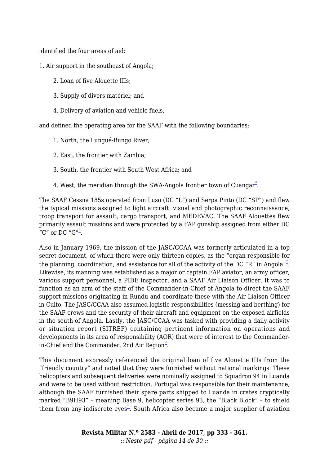identified the four areas of aid:

- 1. Air support in the southeast of Angola;
	- 2. Loan of five Alouette IIIs;
	- 3. Supply of divers matériel; and
	- 4. Delivery of aviation and vehicle fuels,

and defined the operating area for the SAAF with the following boundaries:

- 1. North, the Lungué-Bungo River;
- 2. East, the frontier with Zambia;
- 3. South, the frontier with South West Africa; and
- 4. West, the meridian through the SWA-Angola frontier town of Cuangar<sup>"</sup>.

<span id="page-13-0"></span>The SAAF Cessna 185s operated from Luso (DC "L") and Serpa Pinto (DC "SP") and flew the typical missions assigned to light aircraft: visual and photographic reconnaissance, troop transport for assault, cargo transport, and MEDEVAC. The SAAF Alouettes flew primarily assault missions and were protected by a FAP gunship assigned from either DC "C" or DC " $G''$ <sup>[52](#page-27-2)</sup>.

<span id="page-13-2"></span><span id="page-13-1"></span>Also in January 1969, the mission of the JASC/CCAA was formerly articulated in a top secret document, of which there were only thirteen copies, as the "organ responsible for the planning, coordination, and assistance for all of the activity of the DC "R" in Angola". Likewise, its manning was established as a major or captain FAP aviator, an army officer, various support personnel, a PIDE inspector, and a SAAF Air Liaison Officer. It was to function as an arm of the staff of the Commander-in-Chief of Angola to direct the SAAF support missions originating in Rundu and coordinate these with the Air Liaison Officer in Cuito. The JASC/CCAA also assumed logistic responsibilities (messing and berthing) for the SAAF crews and the security of their aircraft and equipment on the exposed airfields in the south of Angola. Lastly, the JASC/CCAA was tasked with providing a daily activity or situation report (SITREP) containing pertinent information on operations and developments in its area of responsibility (AOR) that were of interest to the Commanderin-Chief and the Commander, 2nd Air Region<sup>\*</sup>.

<span id="page-13-4"></span><span id="page-13-3"></span>This document expressly referenced the original loan of five Alouette IIIs from the "friendly country" and noted that they were furnished without national markings. These helicopters and subsequent deliveries were nominally assigned to Squadron 94 in Luanda and were to be used without restriction. Portugal was responsible for their maintenance, although the SAAF furnished their spare parts shipped to Luanda in crates cryptically marked "B9H93" – meaning Base 9, helicopter series 93, the "Black Block" – to shield them from any indiscrete eyes<sup>\*\*</sup>. South Africa also became a major supplier of aviation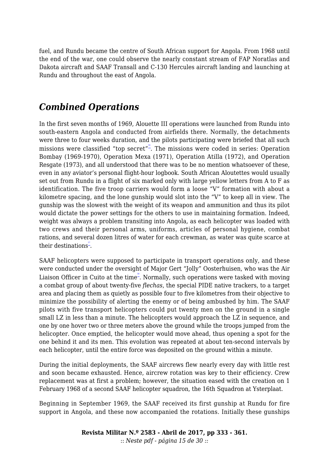fuel, and Rundu became the centre of South African support for Angola. From 1968 until the end of the war, one could observe the nearly constant stream of FAP Noratlas and Dakota aircraft and SAAF Transall and C-130 Hercules aircraft landing and launching at Rundu and throughout the east of Angola.

### *Combined Operations*

<span id="page-14-0"></span>In the first seven months of 1969, Alouette III operations were launched from Rundu into south-eastern Angola and conducted from airfields there. Normally, the detachments were three to four weeks duration, and the pilots participating were briefed that all such missions were classified "top secret"<sup>\*</sup>. The missions were coded in series: Operation Bombay (1969-1970), Operation Mexa (1971), Operation Atilla (1972), and Operation Resgate (1973), and all understood that there was to be no mention whatsoever of these, even in any aviator's personal flight-hour logbook. South African Aloutettes would usually set out from Rundu in a flight of six marked only with large yellow letters from A to F as identification. The five troop carriers would form a loose "V" formation with about a kilometre spacing, and the lone gunship would slot into the "V" to keep all in view. The gunship was the slowest with the weight of its weapon and ammunition and thus its pilot would dictate the power settings for the others to use in maintaining formation. Indeed, weight was always a problem transiting into Angola, as each helicopter was loaded with two crews and their personal arms, uniforms, articles of personal hygiene, combat rations, and several dozen litres of water for each crewman, as water was quite scarce at their destinations<sup>"</sup>.

<span id="page-14-2"></span><span id="page-14-1"></span>SAAF helicopters were supposed to participate in transport operations only, and these were conducted under the oversight of Major Gert "Jolly" Oosterhuisen, who was the Air Liaison Officer in Cuito at the time<sup>\*</sup>. Normally, such operations were tasked with moving a combat group of about twenty-five *flechas*, the special PIDE native trackers, to a target area and placing them as quietly as possible four to five kilometres from their objective to minimize the possibility of alerting the enemy or of being ambushed by him. The SAAF pilots with five transport helicopters could put twenty men on the ground in a single small LZ in less than a minute. The helicopters would approach the LZ in sequence, and one by one hover two or three meters above the ground while the troops jumped from the helicopter. Once emptied, the helicopter would move ahead, thus opening a spot for the one behind it and its men. This evolution was repeated at about ten-second intervals by each helicopter, until the entire force was deposited on the ground within a minute.

During the initial deployments, the SAAF aircrews flew nearly every day with little rest and soon became exhausted. Hence, aircrew rotation was key to their efficiency. Crew replacement was at first a problem; however, the situation eased with the creation on 1 February 1968 of a second SAAF helicopter squadron, the 16th Squadron at Ysterplaat.

Beginning in September 1969, the SAAF received its first gunship at Rundu for fire support in Angola, and these now accompanied the rotations. Initially these gunships

> **Revista Militar N.º 2583 - Abril de 2017, pp 333 - 361.** :: *Neste pdf - página 15 de 30 ::*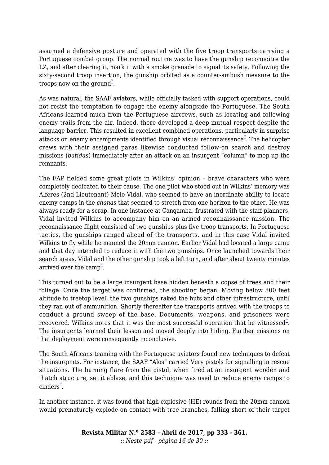assumed a defensive posture and operated with the five troop transports carrying a Portuguese combat group. The normal routine was to have the gunship reconnoitre the LZ, and after clearing it, mark it with a smoke grenade to signal its safety. Following the sixty-second troop insertion, the gunship orbited as a counter-ambush measure to the troops now on the ground<sup>"</sup>.

<span id="page-15-1"></span><span id="page-15-0"></span>As was natural, the SAAF aviators, while officially tasked with support operations, could not resist the temptation to engage the enemy alongside the Portuguese. The South Africans learned much from the Portuguese aircrews, such as locating and following enemy trails from the air. Indeed, there developed a deep mutual respect despite the language barrier. This resulted in excellent combined operations, particularly in surprise attacks on enemy encampments identified through visual reconnaissance". The helicopter crews with their assigned paras likewise conducted follow-on search and destroy missions (*batidas*) immediately after an attack on an insurgent "column" to mop up the remnants.

The FAP fielded some great pilots in Wilkins' opinion – brave characters who were completely dedicated to their cause. The one pilot who stood out in Wilkins' memory was Alferes (2nd Lieutenant) Melo Vidal, who seemed to have an inordinate ability to locate enemy camps in the *chanas* that seemed to stretch from one horizon to the other. He was always ready for a scrap. In one instance at Cangamba, frustrated with the staff planners, Vidal invited Wilkins to accompany him on an armed reconnaissance mission. The reconnaissance flight consisted of two gunships plus five troop transports. In Portuguese tactics, the gunships ranged ahead of the transports, and in this case Vidal invited Wilkins to fly while he manned the 20mm cannon. Earlier Vidal had located a large camp and that day intended to reduce it with the two gunships. Once launched towards their search areas, Vidal and the other gunship took a left turn, and after about twenty minutes arrived over the camp<sup>"</sup>.

<span id="page-15-2"></span>This turned out to be a large insurgent base hidden beneath a copse of trees and their foliage. Once the target was confirmed, the shooting began. Moving below 800 feet altitude to treetop level, the two gunships raked the huts and other infrastructure, until they ran out of ammunition. Shortly thereafter the transports arrived with the troops to conduct a ground sweep of the base. Documents, weapons, and prisoners were recovered. Wilkins notes that it was the most successful operation that he witnessed $\mathring{\ddot{\mathbb{}}}$ . The insurgents learned their lesson and moved deeply into hiding. Further missions on that deployment were consequently inconclusive.

<span id="page-15-3"></span>The South Africans teaming with the Portuguese aviators found new techniques to defeat the insurgents. For instance, the SAAF "Alos" carried Very pistols for signalling in rescue situations. The burning flare from the pistol, when fired at an insurgent wooden and thatch structure, set it ablaze, and this technique was used to reduce enemy camps to cinders<sup>3</sup>.

<span id="page-15-4"></span>In another instance, it was found that high explosive (HE) rounds from the 20mm cannon would prematurely explode on contact with tree branches, falling short of their target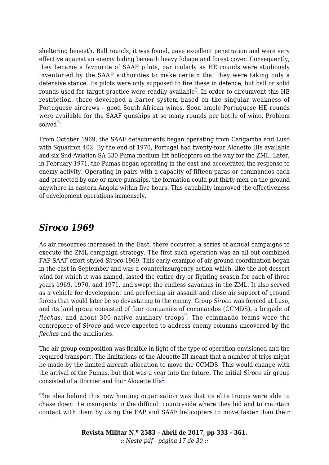<span id="page-16-0"></span>sheltering beneath. Ball rounds, it was found, gave excellent penetration and were very effective against an enemy hiding beneath heavy foliage and forest cover. Consequently, they became a favourite of SAAF pilots, particularly as HE rounds were studiously inventoried by the SAAF authorities to make certain that they were taking only a defensive stance. Its pilots were only supposed to fire these in defence, but ball or solid rounds used for target practice were readily available". In order to circumvent this HE restriction, there developed a barter system based on the singular weakness of Portuguese aircrews – good South African wines. Soon ample Portuguese HE rounds were available for the SAAF gunships at so many rounds per bottle of wine. Problem solved<sup>"</sup>!

<span id="page-16-1"></span>From October 1969, the SAAF detachments began operating from Cangamba and Luso with Squadron 402. By the end of 1970, Portugal had twenty-four Alouette IIIs available and six Sud-Aviation SA-330 Puma medium-lift helicopters on the way for the ZML. Later, in February 1971, the Pumas began operating in the east and accelerated the response to enemy activity. Operating in pairs with a capacity of fifteen paras or commandos each and protected by one or more gunships, the formation could put thirty men on the ground anywhere in eastern Angola within five hours. This capability improved the effectiveness of envelopment operations immensely.

### *Siroco 1969*

As air resources increased in the East, there occurred a series of annual campaigns to execute the ZML campaign strategy. The first such operation was an all-out combined FAP-SAAF effort styled *Siroco* 1969. This early example of air-ground coordination began in the east in September and was a counterinsurgency action which, like the hot dessert wind for which it was named, lasted the entire dry or fighting season for each of three years 1969, 1970, and 1971, and swept the endless savannas in the ZML. It also served as a vehicle for development and perfecting air assault and close air support of ground forces that would later be so devastating to the enemy. Group *Siroco* was formed at Luso, and its land group consisted of four companies of commandos (CCMDS), a brigade of *flechas*, and about 300 native auxiliary troops [6 6](#page-28-0) . The commando teams were the centrepiece of *Siroco* and were expected to address enemy columns uncovered by the *flechas* and the auxiliaries.

<span id="page-16-2"></span>The air group composition was flexible in light of the type of operation envisioned and the required transport. The limitations of the Alouette III meant that a number of trips might be made by the limited aircraft allocation to move the CCMDS. This would change with the arrival of the Pumas, but that was a year into the future. The initial *Siroco* air group consisted of a Dornier and four Alouette IIIs".

<span id="page-16-3"></span>The idea behind this new hunting organisation was that its elite troops were able to chase down the insurgents in the difficult countryside where they hid and to maintain contact with them by using the FAP and SAAF helicopters to move faster than their

> **Revista Militar N.º 2583 - Abril de 2017, pp 333 - 361.** :: *Neste pdf - página 17 de 30 ::*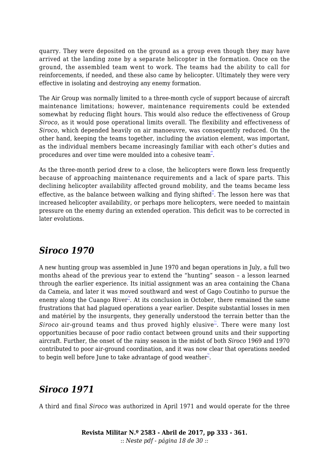quarry. They were deposited on the ground as a group even though they may have arrived at the landing zone by a separate helicopter in the formation. Once on the ground, the assembled team went to work. The teams had the ability to call for reinforcements, if needed, and these also came by helicopter. Ultimately they were very effective in isolating and destroying any enemy formation.

The Air Group was normally limited to a three-month cycle of support because of aircraft maintenance limitations; however, maintenance requirements could be extended somewhat by reducing flight hours. This would also reduce the effectiveness of Group *Siroco*, as it would pose operational limits overall. The flexibility and effectiveness of *Siroco*, which depended heavily on air manoeuvre, was consequently reduced. On the other hand, keeping the teams together, including the aviation element, was important, as the individual members became increasingly familiar with each other's duties and procedures and over time were moulded into a cohesive team<sup>e</sup>.

<span id="page-17-1"></span><span id="page-17-0"></span>As the three-month period drew to a close, the helicopters were flown less frequently because of approaching maintenance requirements and a lack of spare parts. This declining helicopter availability affected ground mobility, and the teams became less effective, as the balance between walking and flying shifted. The lesson here was that increased helicopter availability, or perhaps more helicopters, were needed to maintain pressure on the enemy during an extended operation. This deficit was to be corrected in later evolutions.

#### *Siroco 1970*

<span id="page-17-3"></span><span id="page-17-2"></span>A new hunting group was assembled in June 1970 and began operations in July, a full two months ahead of the previous year to extend the "hunting" season – a lesson learned through the earlier experience. Its initial assignment was an area containing the Chana da Cameia, and later it was moved southward and west of Gago Coutinho to pursue the enemy along the Cuango River<sup>2</sup>. At its conclusion in October, there remained the same frustrations that had plagued operations a year earlier. Despite substantial losses in men and matériel by the insurgents, they generally understood the terrain better than the Siroco air-ground teams and thus proved highly elusive<sup>"</sup>. There were many lost opportunities because of poor radio contact between ground units and their supporting aircraft. Further, the onset of the rainy season in the midst of both *Siroco* 1969 and 1970 contributed to poor air-ground coordination, and it was now clear that operations needed to begin well before June to take advantage of good weather<sup>2</sup>.

### <span id="page-17-4"></span>*Siroco 1971*

A third and final *Siroco* was authorized in April 1971 and would operate for the three

**Revista Militar N.º 2583 - Abril de 2017, pp 333 - 361.** :: *Neste pdf - página 18 de 30 ::*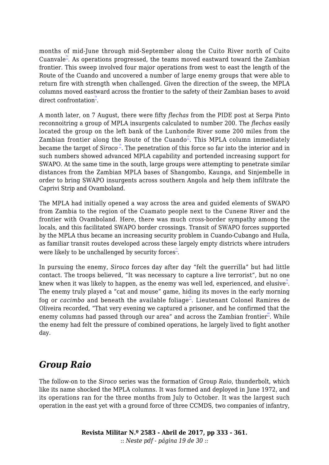<span id="page-18-0"></span>months of mid-June through mid-September along the Cuito River north of Cuito Cuanvale<sup> $\overline{a}$ </sup>. As operations progressed, the teams moved eastward toward the Zambian frontier. This sweep involved four major operations from west to east the length of the Route of the Cuando and uncovered a number of large enemy groups that were able to return fire with strength when challenged. Given the direction of the sweep, the MPLA columns moved eastward across the frontier to the safety of their Zambian bases to avoid direct confrontation<sup>"</sup>.

<span id="page-18-3"></span><span id="page-18-2"></span><span id="page-18-1"></span>A month later, on 7 August, there were fifty *flechas* from the PIDE post at Serpa Pinto reconnoitring a group of MPLA insurgents calculated to number 200. The *flechas* easily located the group on the left bank of the Lunhonde River some 200 miles from the Zambian frontier along the Route of the Cuando<sup>2</sup>. This MPLA column immediately became the target of *Siroco*<sup>"</sup>. The penetration of this force so far into the interior and in such numbers showed advanced MPLA capability and portended increasing support for SWAPO. At the same time in the south, large groups were attempting to penetrate similar distances from the Zambian MPLA bases of Shangombo, Kaunga, and Sinjembelle in order to bring SWAPO insurgents across southern Angola and help them infiltrate the Caprivi Strip and Ovamboland.

The MPLA had initially opened a way across the area and guided elements of SWAPO from Zambia to the region of the Cuamato people next to the Cunene River and the frontier with Ovamboland. Here, there was much cross-border sympathy among the locals, and this facilitated SWAPO border crossings. Transit of SWAPO forces supported by the MPLA thus became an increasing security problem in Cuando-Cubango and Huíla, as familiar transit routes developed across these largely empty districts where intruders were likely to be unchallenged by security forces<sup>"</sup>.

<span id="page-18-6"></span><span id="page-18-5"></span><span id="page-18-4"></span>In pursuing the enemy, *Siroco* forces day after day "felt the guerrilla" but had little contact. The troops believed, "It was necessary to capture a live terrorist", but no one knew when it was likely to happen, as the enemy was well led, experienced, and elusive  $\stackrel{\text{\tiny a}}{\text{\tiny -}}$ The enemy truly played a "cat and mouse" game, hiding its moves in the early morning fog or *cacimbo* and beneath the available foliage<sup>2</sup>. Lieutenant Colonel Ramires de Oliveira recorded, "That very evening we captured a prisoner, and he confirmed that the enemy columns had passed through our area" and across the Zambian frontier<sup>®</sup>. While the enemy had felt the pressure of combined operations, he largely lived to fight another day.

### <span id="page-18-7"></span>*Group Raio*

<span id="page-18-8"></span>The follow-on to the *Siroco* series was the formation of Group *Raio*, thunderbolt, which like its name shocked the MPLA columns. It was formed and deployed in June 1972, and its operations ran for the three months from July to October. It was the largest such operation in the east yet with a ground force of three CCMDS, two companies of infantry,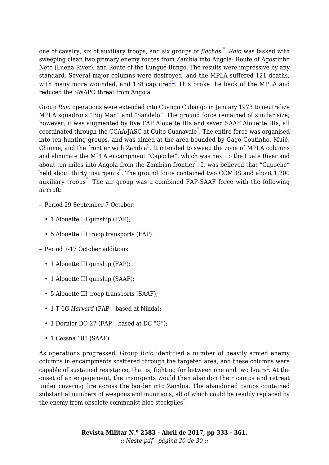one of cavalry, six of auxiliary troops, and six groups of *flechas*<sup>"</sup>. *Raio* was tasked with sweeping clean two primary enemy routes from Zambia into Angola: Route of Agostinho Neto (Luena River), and Route of the Lungué-Bungo. The results were impressive by any standard. Several major columns were destroyed, and the MPLA suffered 121 deaths, with many more wounded, and 138 captured<sup>®</sup>. This broke the back of the MPLA and reduced the SWAPO threat from Angola.

<span id="page-19-2"></span><span id="page-19-1"></span><span id="page-19-0"></span>Group *Raio* operations were extended into Cuango Cubango in January 1973 to neutralize MPLA squadrons "Big Man" and "Sandalo". The ground force remained of similar size; however, it was augmented by five FAP Alouette IIIs and seven SAAF Alouette IIIs, all coordinated through the CCAA/JASC at Cuito Cuanavale<sup>®</sup>. The entire force was organised into ten hunting groups, and was aimed at the area bounded by Gago Coutinho, Muié, Chiume, and the frontier with Zambia<sup>\*</sup>. It intended to sweep the zone of MPLA columns and eliminate the MPLA encampment "Capoche", which was next to the Luate River and about ten miles into Angola from the Zambian frontier". It was believed that "Capoche" held about thirty insurgents<sup>®</sup>. The ground force contained two CCMDS and about 1,200 auxiliary troops<sup>\*</sup>. The air group was a combined FAP-SAAF force with the following aircraft:

- <span id="page-19-5"></span><span id="page-19-4"></span><span id="page-19-3"></span>– Period 29 September-7 October:
	- 1 Alouette III gunship (FAP);
	- 5 Alouette III troop transports (FAP).
- Period 7-17 October additions:
	- 1 Alouette III gunship (FAP);
	- 1 Alouette III gunship (SAAF);
	- 5 Alouette III troop transports (SAAF);
	- 1 T-6G *Harvard* (FAP based at Ninda);
	- 1 Dornier DO-27 (FAP based at DC "G");
	- 1 Cessna 185 (SAAF).

<span id="page-19-7"></span><span id="page-19-6"></span>As operations progressed, Group *Raio* identified a number of heavily armed enemy columns in encampments scattered through the targeted area, and these columns were capable of sustained resistance, that is, fighting for between one and two hours<sup>\*</sup>. At the onset of an engagement, the insurgents would then abandon their camps and retreat under covering fire across the border into Zambia. The abandoned camps contained substantial numbers of weapons and munitions, all of which could be readily replaced by the enemy from obsolete communist bloc stockpiles".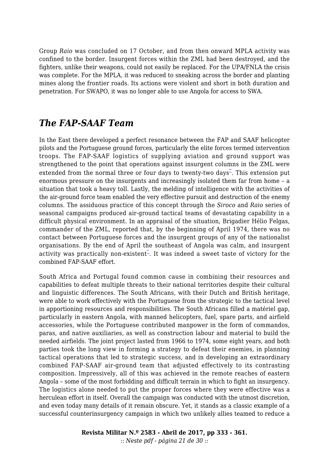Group *Raio* was concluded on 17 October, and from then onward MPLA activity was confined to the border. Insurgent forces within the ZML had been destroyed, and the fighters, unlike their weapons, could not easily be replaced. For the UPA/FNLA the crisis was complete. For the MPLA, it was reduced to sneaking across the border and planting mines along the frontier roads. Its actions were violent and short in both duration and penetration. For SWAPO, it was no longer able to use Angola for access to SWA.

#### *The FAP-SAAF Team*

<span id="page-20-0"></span>In the East there developed a perfect resonance between the FAP and SAAF helicopter pilots and the Portuguese ground forces, particularly the elite forces termed intervention troops. The FAP-SAAF logistics of supplying aviation and ground support was strengthened to the point that operations against insurgent columns in the ZML were extended from the normal three or four days to twenty-two days<sup>\*</sup>. This extension put enormous pressure on the insurgents and increasingly isolated them far from home – a situation that took a heavy toll. Lastly, the melding of intelligence with the activities of the air-ground force team enabled the very effective pursuit and destruction of the enemy columns. The assiduous practice of this concept through the *Siroco* and *Raio* series of seasonal campaigns produced air-ground tactical teams of devastating capability in a difficult physical environment. In an appraisal of the situation, Brigadier Hélio Felgas, commander of the ZML, reported that, by the beginning of April 1974, there was no contact between Portuguese forces and the insurgent groups of any of the nationalist organisations. By the end of April the southeast of Angola was calm, and insurgent activity was practically non-existent<sup>®</sup>. It was indeed a sweet taste of victory for the combined FAP-SAAF effort.

<span id="page-20-1"></span>South Africa and Portugal found common cause in combining their resources and capabilities to defeat multiple threats to their national territories despite their cultural and linguistic differences. The South Africans, with their Dutch and British heritage, were able to work effectively with the Portuguese from the strategic to the tactical level in apportioning resources and responsibilities. The South Africans filled a matériel gap, particularly in eastern Angola, with manned helicopters, fuel, spare parts, and airfield accessories, while the Portuguese contributed manpower in the form of commandos, paras, and native auxiliaries, as well as construction labour and material to build the needed airfields. The joint project lasted from 1966 to 1974, some eight years, and both parties took the long view in forming a strategy to defeat their enemies, in planning tactical operations that led to strategic success, and in developing an extraordinary combined FAP-SAAF air-ground team that adjusted effectively to its contrasting composition. Impressively, all of this was achieved in the remote reaches of eastern Angola – some of the most forbidding and difficult terrain in which to fight an insurgency. The logistics alone needed to put the proper forces where they were effective was a herculean effort in itself. Overall the campaign was conducted with the utmost discretion, and even today many details of it remain obscure. Yet, it stands as a classic example of a successful counterinsurgency campaign in which two unlikely allies teamed to reduce a

> **Revista Militar N.º 2583 - Abril de 2017, pp 333 - 361.** :: *Neste pdf - página 21 de 30 ::*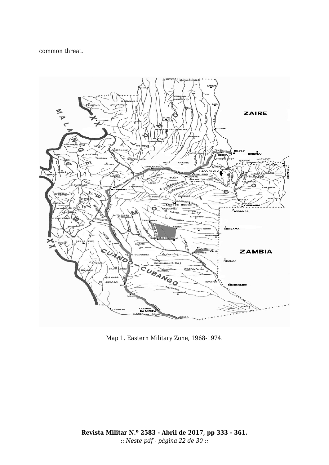common threat.



Map 1. Eastern Military Zone, 1968-1974.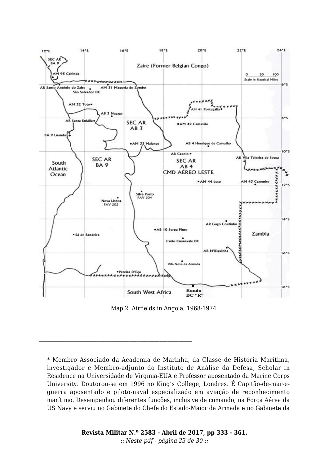

Map 2. Airfields in Angola, 1968-1974.

\* Membro Associado da Academia de Marinha, da Classe de História Marítima, investigador e Membro-adjunto do Instituto de Análise da Defesa, Scholar in Residence na Universidade de Virgínia-EUA e Professor aposentado da Marine Corps University. Doutorou-se em 1996 no King's College, Londres. É Capitão-de-mar-eguerra aposentado e piloto-naval especializado em aviação de reconhecimento marítimo. Desempenhou diferentes funções, inclusive de comando, na Força Aérea da US Navy e serviu no Gabinete do Chefe do Estado-Maior da Armada e no Gabinete da

> **Revista Militar N.º 2583 - Abril de 2017, pp 333 - 361.** :: *Neste pdf - página 23 de 30 ::*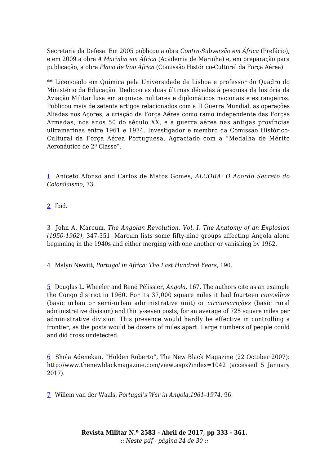Secretaria da Defesa. Em 2005 publicou a obra *Contra-Subversão em África* (Prefácio), e em 2009 a obra *A Marinha em África* (Academia de Marinha) e, em preparação para publicação, a obra *Plano de Voo África* (Comissão Histórico-Cultural da Força Aérea).

\*\* Licenciado em Química pela Universidade de Lisboa e professor do Quadro do Ministério da Educação. Dedicou as duas últimas décadas à pesquisa da história da Aviação Militar lusa em arquivos militares e diplomáticos nacionais e estrangeiros. Publicou mais de setenta artigos relacionados com a II Guerra Mundial, as operações Aliadas nos Açores, a criação da Força Aérea como ramo independente das Forças Armadas, nos anos 50 do século XX, e a guerra aérea nas antigas províncias ultramarinas entre 1961 e 1974. Investigador e membro da Comissão Histórico-Cultural da Força Aérea Portuguesa. Agraciado com a "Medalha de Mérito Aeronáutico de 2ª Classe".

<span id="page-23-0"></span>[1](#page-1-0) Aniceto Afonso and Carlos de Matos Gomes, *ALCORA: O Acordo Secreto do Colonilaismo*, 73.

<span id="page-23-1"></span>[2](#page-1-1) Ibid.

<span id="page-23-2"></span>[3](#page-2-0)  John A. Marcum, *The Angolan Revolution, Vol. I, The Anatomy of an Explosion (1950-1962)*, 347-351. Marcum lists some fifty-nine groups affecting Angola alone beginning in the 1940s and either merging with one another or vanishing by 1962.

<span id="page-23-3"></span>[4](#page-2-1) Malyn Newitt, *Portugal in Africa: The Last Hundred Years*, 190.

<span id="page-23-4"></span>[5](#page-3-0) Douglas L. Wheeler and René Pélissier, *Angola*, 167. The authors cite as an example the Congo district in 1960. For its 37,000 square miles it had fourteen *concelhos* (basic urban or semi-urban administrative unit) or *circunscrições* (basic rural administrative division) and thirty-seven posts, for an average of 725 square miles per administrative division. This presence would hardly be effective in controlling a frontier, as the posts would be dozens of miles apart. Large numbers of people could and did cross undetected.

<span id="page-23-5"></span>[6](#page-3-1) Shola Adenekan, "Holden Roberto", The New Black Magazine (22 October 2007): http://www.thenewblackmagazine.com/view.aspx?index=1042 (accessed 5 January 2017).

<span id="page-23-7"></span><span id="page-23-6"></span>[7](#page-3-2) Willem van der Waals, *Portugal's War in Angola,1961–1974,* 96.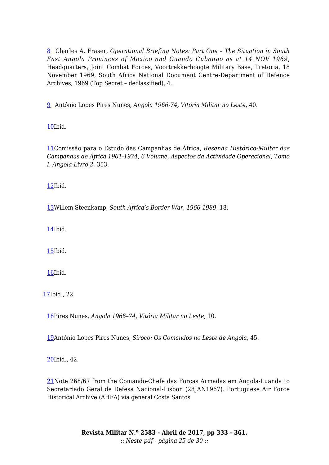[8](#page-4-0) Charles A. Fraser, *Operational Briefing Notes: Part One – The Situation in South East Angola Provinces of Moxico and Cuando Cubango as at 14 NOV 1969*, Headquarters, Joint Combat Forces, Voortrekkerhoogte Military Base, Pretoria, 18 November 1969, South Africa National Document Centre-Department of Defence Archives, 1969 (Top Secret – declassified), 4.

<span id="page-24-0"></span>[9](#page-4-1) António Lopes Pires Nunes, *Angola 1966-74, Vitória Militar no Leste*, 40.

<span id="page-24-1"></span>[10I](#page-4-2)bid.

<span id="page-24-2"></span>[11C](#page-4-3)omissão para o Estudo das Campanhas de África, *Resenha Histórico-Militar das Campanhas de África 1961-1974, 6 Volume, Aspectos da Actividade Operacional, Tomo I, Angola-Livro 2*, 353.

<span id="page-24-3"></span>[12I](#page-4-4)bid.

<span id="page-24-4"></span>[13W](#page-4-5)illem Steenkamp, *South Africa's Border War, 1966-1989*, 18.

<span id="page-24-5"></span>[14I](#page-5-0)bid.

<span id="page-24-6"></span>[15I](#page-5-1)bid.

<span id="page-24-7"></span>[16I](#page-5-2)bid.

<span id="page-24-9"></span><span id="page-24-8"></span>[17I](#page-5-3)bid., 22.

[18P](#page-5-4)ires Nunes, *Angola 1966–74, Vitória Militar no Leste,* 10.

<span id="page-24-10"></span>[19A](#page-5-5)ntónio Lopes Pires Nunes, *Siroco: Os Comandos no Leste de Angola*, 45.

<span id="page-24-11"></span>[20I](#page-6-0)bid., 42.

<span id="page-24-13"></span><span id="page-24-12"></span>[21N](#page-6-1)ote 268/67 from the Comando-Chefe das Forças Armadas em Angola-Luanda to Secretariado Geral de Defesa Nacional-Lisbon (28JAN1967). Portuguese Air Force Historical Archive (AHFA) via general Costa Santos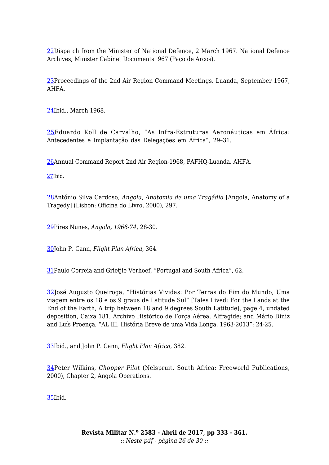[22D](#page-7-0)ispatch from the Minister of National Defence, 2 March 1967. National Defence Archives, Minister Cabinet Documents1967 (Paço de Arcos).

<span id="page-25-0"></span>[23P](#page-7-1)roceedings of the 2nd Air Region Command Meetings. Luanda, September 1967, AHFA.

<span id="page-25-1"></span>[24I](#page-7-2)bid., March 1968.

<span id="page-25-2"></span>[25E](#page-8-0)duardo Koll de Carvalho, "As Infra-Estruturas Aeronáuticas em África: Antecedentes e Implantação das Delegações em África", 29–31.

<span id="page-25-3"></span>[26A](#page-9-0)nnual Command Report 2nd Air Region-1968, PAFHQ-Luanda. AHFA.

<span id="page-25-4"></span>[27](#page-9-1)Ibid.

<span id="page-25-5"></span>[28A](#page-9-2)ntónio Silva Cardoso, *Angola, Anatomia de uma Tragédia* [Angola, Anatomy of a Tragedy] (Lisbon: Oficina do Livro, 2000), 297.

<span id="page-25-6"></span>[29P](#page-9-3)ires Nunes, *Angola, 1966-74*, 28-30.

<span id="page-25-7"></span>[30J](#page-9-4)ohn P. Cann, *Flight Plan Africa*, 364.

<span id="page-25-8"></span>[31P](#page-9-5)aulo Correia and Grietjie Verhoef, "Portugal and South Africa", 62.

<span id="page-25-9"></span>[32](#page-9-6)José Augusto Queiroga, "Histórias Vividas: Por Terras do Fim do Mundo, Uma viagem entre os 18 e os 9 graus de Latitude Sul" [Tales Lived: For the Lands at the End of the Earth, A trip between 18 and 9 degrees South Latitude], page 4, undated deposition, Caixa 181, Archivo Histórico de Força Aérea, Alfragide; and Mário Diniz and Luís Proença, "AL III, História Breve de uma Vida Longa, 1963-2013": 24-25.

<span id="page-25-10"></span>[33I](#page-9-7)bid., and John P. Cann, *Flight Plan Africa*, 382.

<span id="page-25-11"></span>[34](#page-10-0)Peter Wilkins, *Chopper Pilot* (Nelspruit, South Africa: Freeworld Publications, 2000), Chapter 2, Angola Operations.

<span id="page-25-13"></span><span id="page-25-12"></span>[35I](#page-10-1)bid.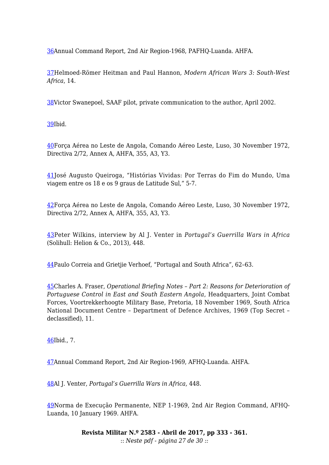[36A](#page-10-2)nnual Command Report, 2nd Air Region-1968, PAFHQ-Luanda. AHFA.

<span id="page-26-0"></span>[37](#page-10-3)Helmoed-Römer Heitman and Paul Hannon, *Modern African Wars 3: South-West Africa*, 14.

<span id="page-26-1"></span>[38V](#page-11-0)ictor Swanepoel, SAAF pilot, private communication to the author, April 2002.

<span id="page-26-2"></span>[39I](#page-11-1)bid.

<span id="page-26-3"></span>[40F](#page-11-2)orça Aérea no Leste de Angola, Comando Aéreo Leste, Luso, 30 November 1972, Directiva 2/72, Annex A, AHFA, 355, A3, Y3.

<span id="page-26-4"></span>[41](#page-11-3)José Augusto Queiroga, "Histórias Vividas: Por Terras do Fim do Mundo, Uma viagem entre os 18 e os 9 graus de Latitude Sul," 5-7.

<span id="page-26-5"></span>[42F](#page-11-4)orça Aérea no Leste de Angola, Comando Aéreo Leste, Luso, 30 November 1972, Directiva 2/72, Annex A, AHFA, 355, A3, Y3.

<span id="page-26-6"></span>[43](#page-12-0)Peter Wilkins, interview by Al J. Venter in *Portugal's Guerrilla Wars in Africa* (Solihull: Helion & Co., 2013), 448.

<span id="page-26-7"></span>[44P](#page-12-1)aulo Correia and Grietjie Verhoef, "Portugal and South Africa", 62–63.

<span id="page-26-8"></span>[45C](#page-12-2)harles A. Fraser, *Operational Briefing Notes – Part 2: Reasons for Deterioration of Portuguese Control in East and South Eastern Angola*, Headquarters, Joint Combat Forces, Voortrekkerhoogte Military Base, Pretoria, 18 November 1969, South Africa National Document Centre – Department of Defence Archives, 1969 (Top Secret – declassified), 11.

<span id="page-26-9"></span>[46I](#page-12-3)bid., 7.

<span id="page-26-10"></span>[47A](#page-12-4)nnual Command Report, 2nd Air Region-1969, AFHQ-Luanda. AHFA.

<span id="page-26-11"></span>[48A](#page-12-5)l J. Venter, *Portugal's Guerrilla Wars in Africa,* 448.

<span id="page-26-12"></span>[49N](#page-12-6)orma de Execução Permanente, NEP 1-1969, 2nd Air Region Command, AFHQ-Luanda, 10 January 1969. AHFA.

> **Revista Militar N.º 2583 - Abril de 2017, pp 333 - 361.** :: *Neste pdf - página 27 de 30 ::*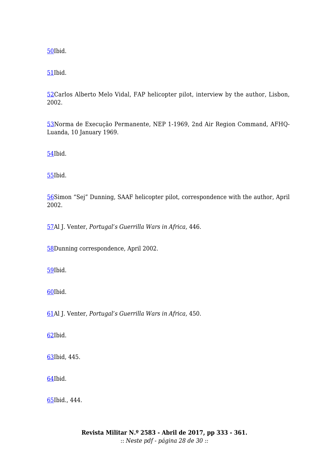<span id="page-27-0"></span>[50I](#page-12-7)bid.

<span id="page-27-1"></span>[51I](#page-13-0)bid.

<span id="page-27-2"></span>[52](#page-13-1)Carlos Alberto Melo Vidal, FAP helicopter pilot, interview by the author, Lisbon, 2002.

<span id="page-27-3"></span>[53N](#page-13-2)orma de Execução Permanente, NEP 1-1969, 2nd Air Region Command, AFHQ-Luanda, 10 January 1969.

<span id="page-27-4"></span>[54I](#page-13-3)bid.

<span id="page-27-5"></span>[55I](#page-13-4)bid.

<span id="page-27-6"></span>[56S](#page-14-0)imon "Sej" Dunning, SAAF helicopter pilot, correspondence with the author, April 2002.

<span id="page-27-7"></span>[57A](#page-14-1)l J. Venter, *Portugal's Guerrilla Wars in Africa,* 446.

<span id="page-27-8"></span>[58D](#page-14-2)unning correspondence, April 2002.

<span id="page-27-9"></span>[59I](#page-15-0)bid.

<span id="page-27-10"></span>[60I](#page-15-1)bid.

<span id="page-27-11"></span>[61A](#page-15-2)l J. Venter, *Portugal's Guerrilla Wars in Africa,* 450.

<span id="page-27-12"></span>[62I](#page-15-3)bid.

<span id="page-27-13"></span>[63I](#page-15-4)bid, 445.

<span id="page-27-14"></span>[64I](#page-16-0)bid.

<span id="page-27-15"></span>[65I](#page-16-1)bid., 444.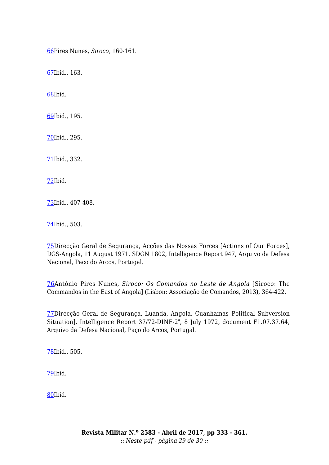<span id="page-28-0"></span>[66P](#page-16-2)ires Nunes, *Siroco,* 160-161.

<span id="page-28-1"></span>[67I](#page-16-3)bid., 163.

<span id="page-28-2"></span>[68I](#page-17-0)bid.

<span id="page-28-3"></span>[69I](#page-17-1)bid., 195.

<span id="page-28-4"></span>[70I](#page-17-2)bid., 295.

<span id="page-28-5"></span>[71I](#page-17-3)bid., 332.

<span id="page-28-6"></span>[72I](#page-17-4)bid.

<span id="page-28-7"></span>[73I](#page-18-0)bid., 407-408.

<span id="page-28-8"></span>[74I](#page-18-1)bid., 503.

<span id="page-28-9"></span>[75D](#page-18-2)irecção Geral de Segurança, Acções das Nossas Forces [Actions of Our Forces], DGS-Angola, 11 August 1971, SDGN 1802, Intelligence Report 947, Arquivo da Defesa Nacional, Paço do Arcos, Portugal.

<span id="page-28-10"></span>[76A](#page-18-3)ntónio Pires Nunes, *Siroco: Os Comandos no Leste de Angola* [Siroco: The Commandos in the East of Angola] (Lisbon: Associação de Comandos, 2013), 364-422.

<span id="page-28-11"></span>[77](#page-18-4)Direcção Geral de Segurança, Luanda, Angola, Cuanhamas–Political Subversion Situation], Intelligence Report 37/72-DINF-2<sup>ª</sup>, 8 July 1972, document F1.07.37.64, Arquivo da Defesa Nacional, Paço do Arcos, Portugal.

<span id="page-28-12"></span>[78I](#page-18-5)bid., 505.

<span id="page-28-13"></span>[79I](#page-18-6)bid.

<span id="page-28-15"></span><span id="page-28-14"></span>[80I](#page-18-7)bid.